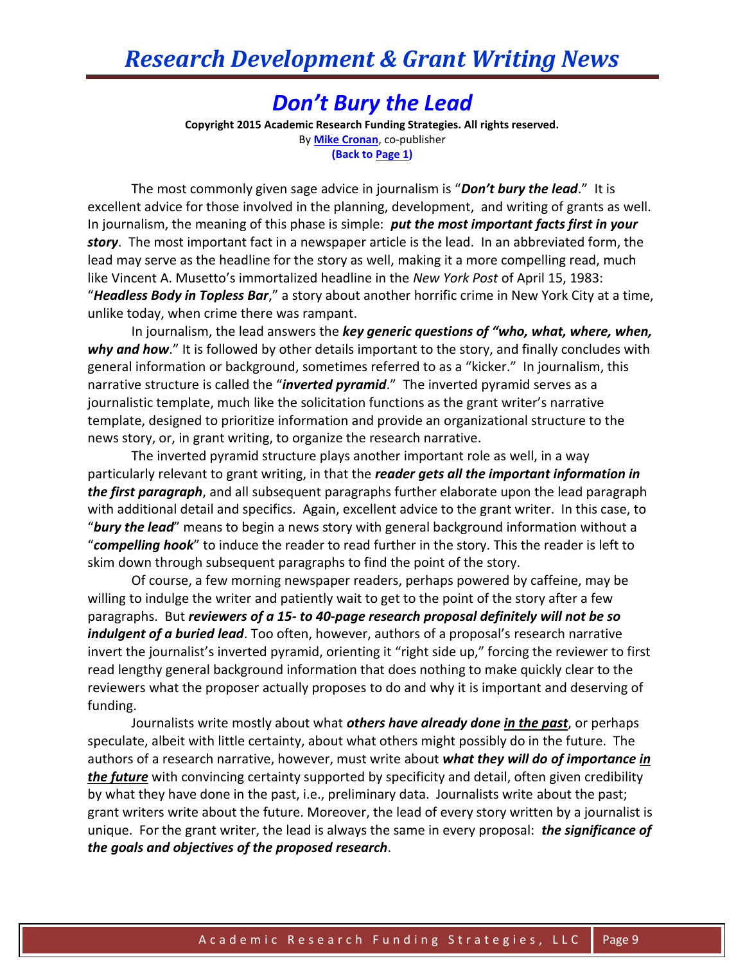## *Don't Bury the Lead*

**Copyright 2015 Academic Research Funding Strategies. All rights reserved.** By **[Mike Cronan](mailto:mjcronan@gmail.com)**, co-publisher **(Back to Page 1)**

The most commonly given sage advice in journalism is "*Don't bury the lead*." It is excellent advice for those involved in the planning, development, and writing of grants as well. In journalism, the meaning of this phase is simple: *put the most important facts first in your story*. The most important fact in a newspaper article is the lead. In an abbreviated form, the lead may serve as the headline for the story as well, making it a more compelling read, much like Vincent A. Musetto's immortalized headline in the *New York Post* of April 15, 1983: "*Headless Body in Topless Bar*," a story about another horrific crime in New York City at a time, unlike today, when crime there was rampant.

In journalism, the lead answers the *key generic questions of "who, what, where, when, why and how*." It is followed by other details important to the story, and finally concludes with general information or background, sometimes referred to as a "kicker." In journalism, this narrative structure is called the "*inverted pyramid*." The inverted pyramid serves as a journalistic template, much like the solicitation functions as the grant writer's narrative template, designed to prioritize information and provide an organizational structure to the news story, or, in grant writing, to organize the research narrative.

The inverted pyramid structure plays another important role as well, in a way particularly relevant to grant writing, in that the *reader gets all the important information in the first paragraph*, and all subsequent paragraphs further elaborate upon the lead paragraph with additional detail and specifics. Again, excellent advice to the grant writer. In this case, to "*bury the lead*" means to begin a news story with general background information without a "*compelling hook*" to induce the reader to read further in the story. This the reader is left to skim down through subsequent paragraphs to find the point of the story.

Of course, a few morning newspaper readers, perhaps powered by caffeine, may be willing to indulge the writer and patiently wait to get to the point of the story after a few paragraphs. But *reviewers of a 15- to 40-page research proposal definitely will not be so indulgent of a buried lead*. Too often, however, authors of a proposal's research narrative invert the journalist's inverted pyramid, orienting it "right side up," forcing the reviewer to first read lengthy general background information that does nothing to make quickly clear to the reviewers what the proposer actually proposes to do and why it is important and deserving of funding.

Journalists write mostly about what *others have already done in the past*, or perhaps speculate, albeit with little certainty, about what others might possibly do in the future. The authors of a research narrative, however, must write about *what they will do of importance in the future* with convincing certainty supported by specificity and detail, often given credibility by what they have done in the past, i.e., preliminary data. Journalists write about the past; grant writers write about the future. Moreover, the lead of every story written by a journalist is unique. For the grant writer, the lead is always the same in every proposal: *the significance of the goals and objectives of the proposed research*.